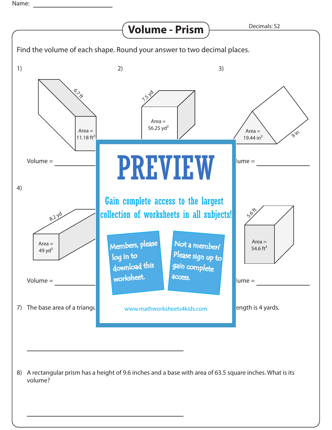Name: